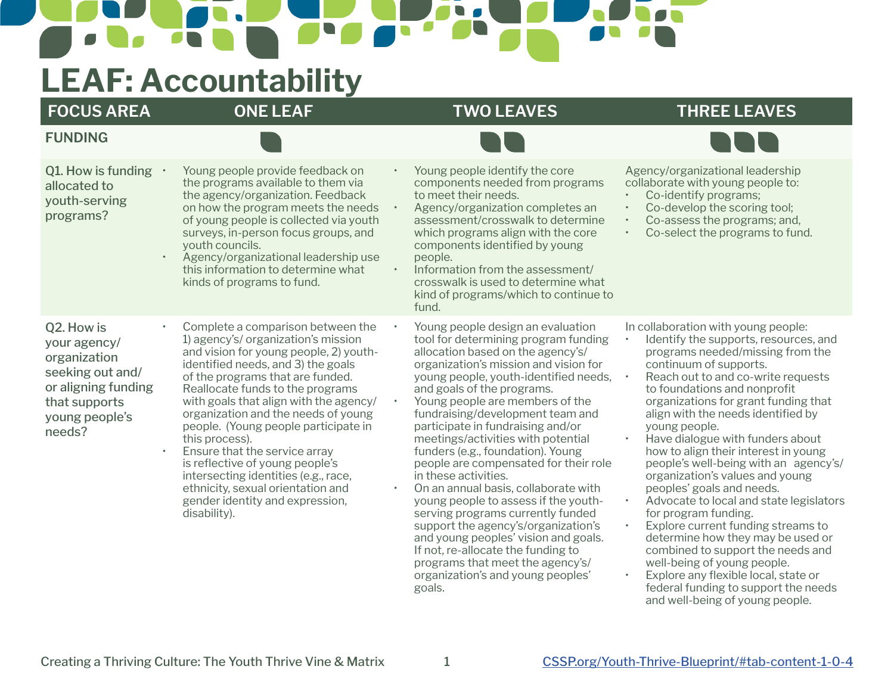## **LEAF: Accountability**

**FUNDING**

## **FOCUS AREA ONE LEAF TWO LEAVES THREE LEAVES**



| Q1. How is funding<br>allocated to<br>youth-serving<br>programs?<br>$\bullet$                                                                   | Young people provide feedback on<br>the programs available to them via<br>the agency/organization. Feedback<br>on how the program meets the needs<br>of young people is collected via youth<br>surveys, in-person focus groups, and<br>youth councils.<br>Agency/organizational leadership use<br>this information to determine what<br>kinds of programs to fund.                                                                                                                                                                                                              | Young people identify the core<br>components needed from programs<br>to meet their needs.<br>Agency/organization completes an<br>assessment/crosswalk to determine<br>which programs align with the core<br>components identified by young<br>people.<br>Information from the assessment/<br>crosswalk is used to determine what<br>kind of programs/which to continue to<br>fund.                                                                                                                                                                                                                                                                                                                                                                                                                                  | $\bullet$<br>$\bullet$<br>$\bullet$                           | Agency/organizational leadership<br>collaborate with young people to:<br>Co-identify programs;<br>Co-develop the scoring tool;<br>Co-assess the programs; and,<br>Co-select the programs to fund.                                                                                                                                                                                                                                                                                                                                                                                                                                                                                                                                                                                                      |
|-------------------------------------------------------------------------------------------------------------------------------------------------|---------------------------------------------------------------------------------------------------------------------------------------------------------------------------------------------------------------------------------------------------------------------------------------------------------------------------------------------------------------------------------------------------------------------------------------------------------------------------------------------------------------------------------------------------------------------------------|---------------------------------------------------------------------------------------------------------------------------------------------------------------------------------------------------------------------------------------------------------------------------------------------------------------------------------------------------------------------------------------------------------------------------------------------------------------------------------------------------------------------------------------------------------------------------------------------------------------------------------------------------------------------------------------------------------------------------------------------------------------------------------------------------------------------|---------------------------------------------------------------|--------------------------------------------------------------------------------------------------------------------------------------------------------------------------------------------------------------------------------------------------------------------------------------------------------------------------------------------------------------------------------------------------------------------------------------------------------------------------------------------------------------------------------------------------------------------------------------------------------------------------------------------------------------------------------------------------------------------------------------------------------------------------------------------------------|
| Q2. How is<br>your agency/<br>organization<br>seeking out and/<br>or aligning funding<br>that supports<br>young people's<br>needs?<br>$\bullet$ | Complete a comparison between the<br>1) agency's/ organization's mission<br>and vision for young people, 2) youth-<br>identified needs, and 3) the goals<br>of the programs that are funded.<br>Reallocate funds to the programs<br>with goals that align with the agency/<br>organization and the needs of young<br>people. (Young people participate in<br>this process).<br>Ensure that the service array<br>is reflective of young people's<br>intersecting identities (e.g., race,<br>ethnicity, sexual orientation and<br>gender identity and expression,<br>disability). | Young people design an evaluation<br>tool for determining program funding<br>allocation based on the agency's/<br>organization's mission and vision for<br>young people, youth-identified needs,<br>and goals of the programs.<br>Young people are members of the<br>fundraising/development team and<br>participate in fundraising and/or<br>meetings/activities with potential<br>funders (e.g., foundation). Young<br>people are compensated for their role<br>in these activities.<br>On an annual basis, collaborate with<br>young people to assess if the youth-<br>serving programs currently funded<br>support the agency's/organization's<br>and young peoples' vision and goals.<br>If not, re-allocate the funding to<br>programs that meet the agency's/<br>organization's and young peoples'<br>goals. | $\bullet$<br>$\bullet$<br>$\bullet$<br>$\bullet$<br>$\bullet$ | In collaboration with young people:<br>Identify the supports, resources, and<br>programs needed/missing from the<br>continuum of supports.<br>Reach out to and co-write requests<br>to foundations and nonprofit<br>organizations for grant funding that<br>align with the needs identified by<br>young people.<br>Have dialogue with funders about<br>how to align their interest in young<br>people's well-being with an agency's/<br>organization's values and young<br>peoples' goals and needs.<br>Advocate to local and state legislators<br>for program funding.<br>Explore current funding streams to<br>determine how they may be used or<br>combined to support the needs and<br>well-being of young people.<br>Explore any flexible local, state or<br>federal funding to support the needs |

and well-being of young people.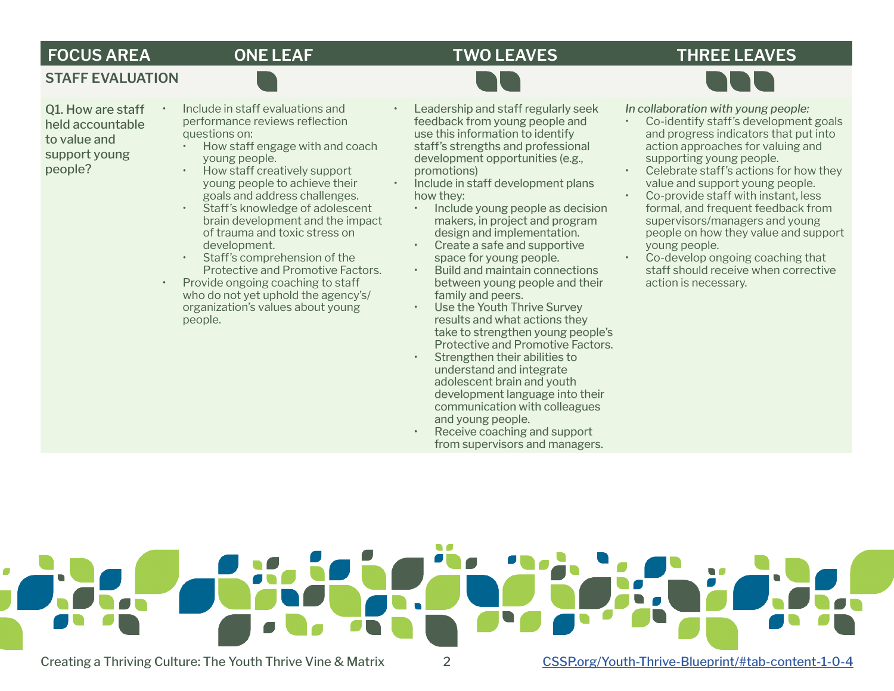### **FOCUS AREA ONE LEAF TWO LEAVES THREE LEAVES**



**STAFF EVALUATION**

- Q1. How are staff held accountable to value and support young people?
- Include in staff evaluations and performance reviews reflection questions on:
- How staff engage with and coach young people.
- How staff creatively support young people to achieve their goals and address challenges.
- Staff's knowledge of adolescent brain development and the impact of trauma and toxic stress on development.
- Staff's comprehension of the Protective and Promotive Factors.
- Provide ongoing coaching to staff who do not yet uphold the agency's/ organization's values about young people.

• Leadership and staff regularly seek feedback from young people and use this information to identify staff's strengths and professional development opportunities (e.g., promotions)

• Include in staff development plans how they:

- Include young people as decision makers, in project and program design and implementation.
- Create a safe and supportive space for young people.
- Build and maintain connections between young people and their family and peers.
- Use the Youth Thrive Survey results and what actions they take to strengthen young people's Protective and Promotive Factors.
- Strengthen their abilities to understand and integrate adolescent brain and youth development language into their communication with colleagues and young people.
- Receive coaching and support from supervisors and managers.

*In collaboration with young people:* 

- Co-identify staff's development goals and progress indicators that put into action approaches for valuing and supporting young people.
- Celebrate staff's actions for how they value and support young people.
- Co-provide staff with instant, less formal, and frequent feedback from supervisors/managers and young people on how they value and support young people.
- Co-develop ongoing coaching that staff should receive when corrective action is necessary.



 $\blacksquare$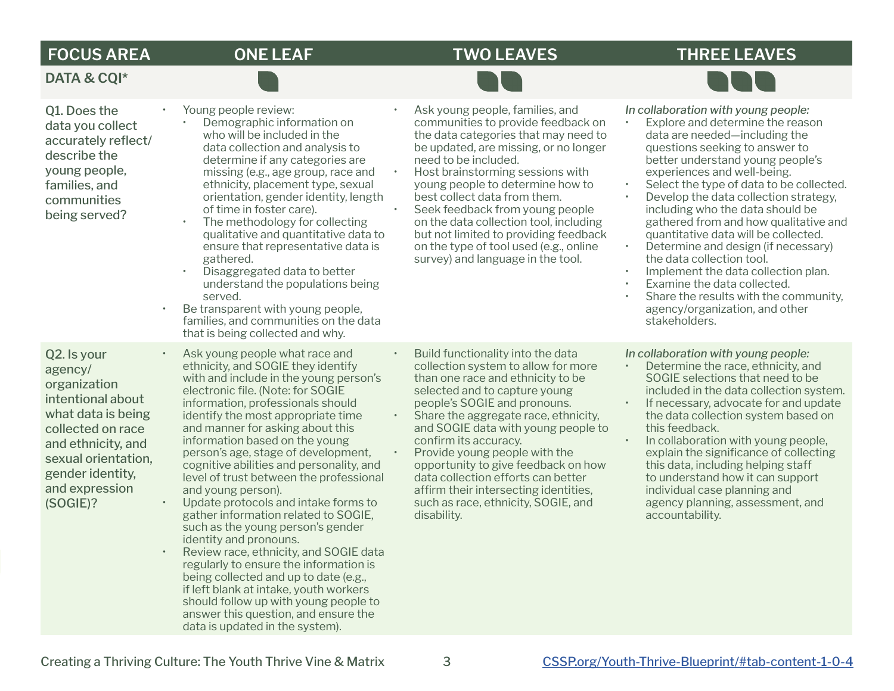**DATA & CQI\***

 $\blacksquare$ 

 $\mathbf{N}$ 

## **FOCUS AREA ONE LEAF TWO LEAVES THREE LEAVES**

**START** 

| Q1. Does the<br>data you collect<br>accurately reflect/<br>describe the<br>young people,<br>families, and<br>communities<br>being served?<br>$\bullet$                                                | Young people review:<br>Demographic information on<br>who will be included in the<br>data collection and analysis to<br>determine if any categories are<br>missing (e.g., age group, race and<br>ethnicity, placement type, sexual<br>orientation, gender identity, length<br>of time in foster care).<br>The methodology for collecting<br>qualitative and quantitative data to<br>ensure that representative data is<br>gathered.<br>Disaggregated data to better<br>understand the populations being<br>served.<br>Be transparent with young people,<br>families, and communities on the data<br>that is being collected and why.                                                                                                                                                                                                                                                               | $\bullet$ | Ask young people, families, and<br>communities to provide feedback on<br>the data categories that may need to<br>be updated, are missing, or no longer<br>need to be included.<br>Host brainstorming sessions with<br>young people to determine how to<br>best collect data from them.<br>Seek feedback from young people<br>on the data collection tool, including<br>but not limited to providing feedback<br>on the type of tool used (e.g., online<br>survey) and language in the tool.         | $\bullet$ | In collaboration with young people:<br>Explore and determine the reason<br>data are needed-including the<br>questions seeking to answer to<br>better understand young people's<br>experiences and well-being.<br>Select the type of data to be collected.<br>Develop the data collection strategy,<br>including who the data should be<br>gathered from and how qualitative and<br>quantitative data will be collected.<br>Determine and design (if necessary)<br>the data collection tool.<br>Implement the data collection plan.<br>Examine the data collected.<br>Share the results with the community,<br>agency/organization, and other<br>stakeholders. |
|-------------------------------------------------------------------------------------------------------------------------------------------------------------------------------------------------------|----------------------------------------------------------------------------------------------------------------------------------------------------------------------------------------------------------------------------------------------------------------------------------------------------------------------------------------------------------------------------------------------------------------------------------------------------------------------------------------------------------------------------------------------------------------------------------------------------------------------------------------------------------------------------------------------------------------------------------------------------------------------------------------------------------------------------------------------------------------------------------------------------|-----------|-----------------------------------------------------------------------------------------------------------------------------------------------------------------------------------------------------------------------------------------------------------------------------------------------------------------------------------------------------------------------------------------------------------------------------------------------------------------------------------------------------|-----------|---------------------------------------------------------------------------------------------------------------------------------------------------------------------------------------------------------------------------------------------------------------------------------------------------------------------------------------------------------------------------------------------------------------------------------------------------------------------------------------------------------------------------------------------------------------------------------------------------------------------------------------------------------------|
| Q2. Is your<br>agency/<br>organization<br>intentional about<br>what data is being<br>collected on race<br>and ethnicity, and<br>sexual orientation,<br>gender identity,<br>and expression<br>(SOGIE)? | Ask young people what race and<br>ethnicity, and SOGIE they identify<br>with and include in the young person's<br>electronic file. (Note: for SOGIE<br>information, professionals should<br>identify the most appropriate time<br>and manner for asking about this<br>information based on the young<br>person's age, stage of development,<br>cognitive abilities and personality, and<br>level of trust between the professional<br>and young person).<br>Update protocols and intake forms to<br>gather information related to SOGIE,<br>such as the young person's gender<br>identity and pronouns.<br>Review race, ethnicity, and SOGIE data<br>regularly to ensure the information is<br>being collected and up to date (e.g.,<br>if left blank at intake, youth workers<br>should follow up with young people to<br>answer this question, and ensure the<br>data is updated in the system). | $\bullet$ | Build functionality into the data<br>collection system to allow for more<br>than one race and ethnicity to be<br>selected and to capture young<br>people's SOGIE and pronouns.<br>Share the aggregate race, ethnicity,<br>and SOGIE data with young people to<br>confirm its accuracy.<br>Provide young people with the<br>opportunity to give feedback on how<br>data collection efforts can better<br>affirm their intersecting identities,<br>such as race, ethnicity, SOGIE, and<br>disability. |           | In collaboration with young people:<br>Determine the race, ethnicity, and<br>SOGIE selections that need to be<br>included in the data collection system.<br>If necessary, advocate for and update<br>the data collection system based on<br>this feedback.<br>In collaboration with young people,<br>explain the significance of collecting<br>this data, including helping staff<br>to understand how it can support<br>individual case planning and<br>agency planning, assessment, and<br>accountability.                                                                                                                                                  |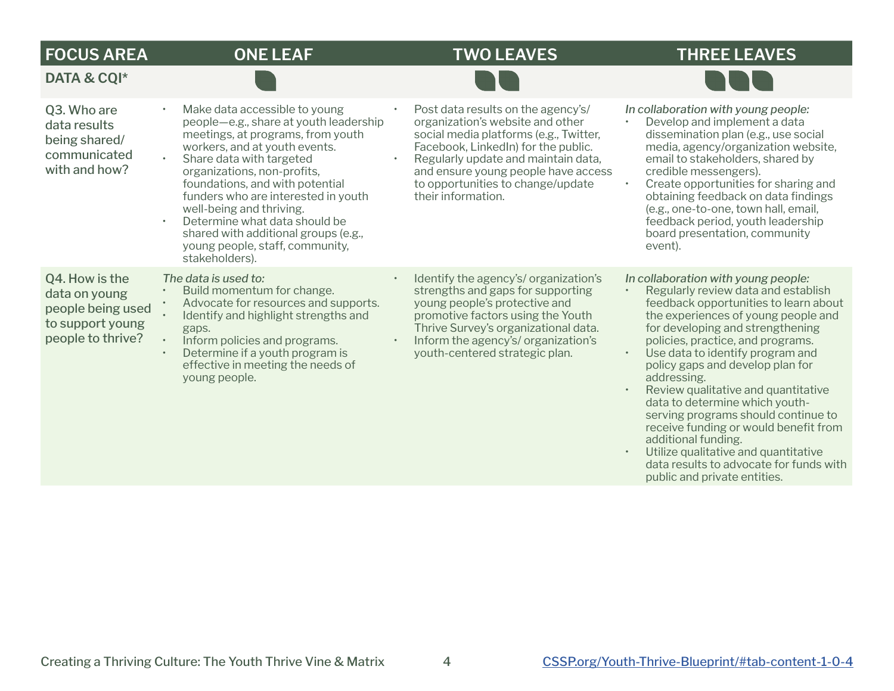| <b>FOCUS AREA</b>                                                                             | <b>ONE LEAF</b>                                                                                                                                                                                                                                                                                                                                                                                                                                           | <b>TWO LEAVES</b>                                                                                                                                                                                                                                                                                | <b>THREE LEAVES</b>                                                                                                                                                                                                                                                                                                                                                                                                                                                                                                                                                                          |
|-----------------------------------------------------------------------------------------------|-----------------------------------------------------------------------------------------------------------------------------------------------------------------------------------------------------------------------------------------------------------------------------------------------------------------------------------------------------------------------------------------------------------------------------------------------------------|--------------------------------------------------------------------------------------------------------------------------------------------------------------------------------------------------------------------------------------------------------------------------------------------------|----------------------------------------------------------------------------------------------------------------------------------------------------------------------------------------------------------------------------------------------------------------------------------------------------------------------------------------------------------------------------------------------------------------------------------------------------------------------------------------------------------------------------------------------------------------------------------------------|
| DATA & CQI*                                                                                   |                                                                                                                                                                                                                                                                                                                                                                                                                                                           |                                                                                                                                                                                                                                                                                                  |                                                                                                                                                                                                                                                                                                                                                                                                                                                                                                                                                                                              |
| Q3. Who are<br>data results<br>being shared/<br>communicated<br>with and how?                 | Make data accessible to young<br>$\bullet$<br>people-e.g., share at youth leadership<br>meetings, at programs, from youth<br>workers, and at youth events.<br>Share data with targeted<br>organizations, non-profits,<br>foundations, and with potential<br>funders who are interested in youth<br>well-being and thriving.<br>Determine what data should be<br>shared with additional groups (e.g.,<br>young people, staff, community,<br>stakeholders). | Post data results on the agency's/<br>organization's website and other<br>social media platforms (e.g., Twitter,<br>Facebook, LinkedIn) for the public.<br>Regularly update and maintain data,<br>and ensure young people have access<br>to opportunities to change/update<br>their information. | In collaboration with young people:<br>Develop and implement a data<br>$\bullet$<br>dissemination plan (e.g., use social<br>media, agency/organization website,<br>email to stakeholders, shared by<br>credible messengers).<br>Create opportunities for sharing and<br>$\bullet$<br>obtaining feedback on data findings<br>(e.g., one-to-one, town hall, email,<br>feedback period, youth leadership<br>board presentation, community<br>event).                                                                                                                                            |
| Q4. How is the<br>data on young<br>people being used<br>to support young<br>people to thrive? | The data is used to:<br>Build momentum for change.<br>Advocate for resources and supports.<br>Identify and highlight strengths and<br>gaps.<br>Inform policies and programs.<br>Determine if a youth program is<br>effective in meeting the needs of<br>young people.                                                                                                                                                                                     | Identify the agency's/organization's<br>strengths and gaps for supporting<br>young people's protective and<br>promotive factors using the Youth<br>Thrive Survey's organizational data.<br>Inform the agency's/ organization's<br>youth-centered strategic plan.                                 | In collaboration with young people:<br>Regularly review data and establish<br>$\bullet$<br>feedback opportunities to learn about<br>the experiences of young people and<br>for developing and strengthening<br>policies, practice, and programs.<br>Use data to identify program and<br>$\bullet$<br>policy gaps and develop plan for<br>addressing.<br>Review qualitative and quantitative<br>$\bullet$<br>data to determine which youth-<br>serving programs should continue to<br>receive funding or would benefit from<br>additional funding.<br>e Ultilize qualitative and quantitative |

• Utilize qualitative and quantitative data results to advocate for funds with public and private entities.